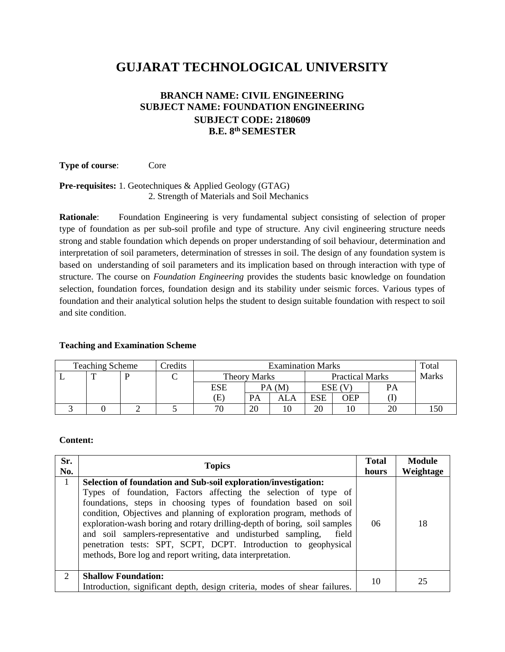# **GUJARAT TECHNOLOGICAL UNIVERSITY**

# **BRANCH NAME: CIVIL ENGINEERING SUBJECT NAME: FOUNDATION ENGINEERING SUBJECT CODE: 2180609 B.E. 8th SEMESTER**

**Type of course**: Core

# **Pre-requisites:** 1. Geotechniques & Applied Geology (GTAG) 2. Strength of Materials and Soil Mechanics

**Rationale**: Foundation Engineering is very fundamental subject consisting of selection of proper type of foundation as per sub-soil profile and type of structure. Any civil engineering structure needs strong and stable foundation which depends on proper understanding of soil behaviour, determination and interpretation of soil parameters, determination of stresses in soil. The design of any foundation system is based on understanding of soil parameters and its implication based on through interaction with type of structure. The course on *Foundation Engineering* provides the students basic knowledge on foundation selection, foundation forces, foundation design and its stability under seismic forces. Various types of foundation and their analytical solution helps the student to design suitable foundation with respect to soil and site condition.

#### **Teaching and Examination Scheme**

| <b>Teaching Scheme</b> |  |  | Credits | <b>Examination Marks</b> |           |                        |            | Total  |              |  |
|------------------------|--|--|---------|--------------------------|-----------|------------------------|------------|--------|--------------|--|
|                        |  |  |         | <b>Theory Marks</b>      |           | <b>Practical Marks</b> |            |        | <b>Marks</b> |  |
|                        |  |  |         | <b>ESE</b>               |           | PA(M)                  |            | ESE (V | PА           |  |
|                        |  |  |         | Œ                        | <b>PA</b> | ALA                    | <b>ESE</b> | OEP    |              |  |
|                        |  |  |         | 70                       | 20        |                        | 20         |        |              |  |

#### **Content:**

| Sr.<br>No. | <b>Topics</b>                                                                                                                                                                                                                                                                                                                                                                                                                                                                                                                                                        | <b>Total</b><br>hours | <b>Module</b><br>Weightage |
|------------|----------------------------------------------------------------------------------------------------------------------------------------------------------------------------------------------------------------------------------------------------------------------------------------------------------------------------------------------------------------------------------------------------------------------------------------------------------------------------------------------------------------------------------------------------------------------|-----------------------|----------------------------|
| 1          | Selection of foundation and Sub-soil exploration/investigation:<br>Types of foundation, Factors affecting the selection of type of<br>foundations, steps in choosing types of foundation based on soil<br>condition, Objectives and planning of exploration program, methods of<br>exploration-wash boring and rotary drilling-depth of boring, soil samples<br>and soil samplers-representative and undisturbed sampling,<br>field<br>penetration tests: SPT, SCPT, DCPT. Introduction to geophysical<br>methods, Bore log and report writing, data interpretation. | 06                    | 18                         |
| 2          | <b>Shallow Foundation:</b><br>Introduction, significant depth, design criteria, modes of shear failures.                                                                                                                                                                                                                                                                                                                                                                                                                                                             | 10                    | 25                         |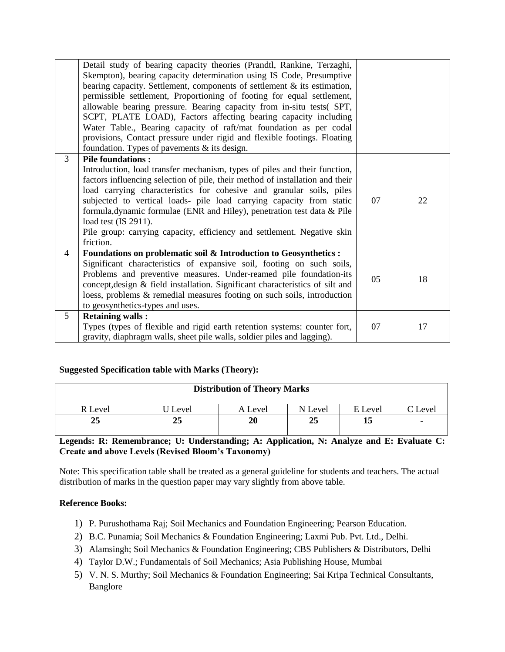|                | Detail study of bearing capacity theories (Prandtl, Rankine, Terzaghi,<br>Skempton), bearing capacity determination using IS Code, Presumptive<br>bearing capacity. Settlement, components of settlement & its estimation,<br>permissible settlement, Proportioning of footing for equal settlement,<br>allowable bearing pressure. Bearing capacity from in-situ tests( SPT,<br>SCPT, PLATE LOAD), Factors affecting bearing capacity including<br>Water Table., Bearing capacity of raft/mat foundation as per codal            |    |    |
|----------------|-----------------------------------------------------------------------------------------------------------------------------------------------------------------------------------------------------------------------------------------------------------------------------------------------------------------------------------------------------------------------------------------------------------------------------------------------------------------------------------------------------------------------------------|----|----|
|                | provisions, Contact pressure under rigid and flexible footings. Floating<br>foundation. Types of pavements $&$ its design.                                                                                                                                                                                                                                                                                                                                                                                                        |    |    |
| 3 <sup>1</sup> | <b>Pile foundations:</b><br>Introduction, load transfer mechanism, types of piles and their function,<br>factors influencing selection of pile, their method of installation and their<br>load carrying characteristics for cohesive and granular soils, piles<br>subjected to vertical loads- pile load carrying capacity from static<br>formula, dynamic formulae (ENR and Hiley), penetration test data & Pile<br>load test (IS 2911).<br>Pile group: carrying capacity, efficiency and settlement. Negative skin<br>friction. | 07 | 22 |
| 4              | Foundations on problematic soil & Introduction to Geosynthetics :<br>Significant characteristics of expansive soil, footing on such soils,<br>Problems and preventive measures. Under-reamed pile foundation-its<br>concept, design & field installation. Significant characteristics of silt and<br>loess, problems & remedial measures footing on such soils, introduction<br>to geosynthetics-types and uses.                                                                                                                  | 05 | 18 |
| 5 <sup>1</sup> | <b>Retaining walls:</b><br>Types (types of flexible and rigid earth retention systems: counter fort,<br>gravity, diaphragm walls, sheet pile walls, soldier piles and lagging).                                                                                                                                                                                                                                                                                                                                                   | 07 | 17 |

## **Suggested Specification table with Marks (Theory):**

| <b>Distribution of Theory Marks</b> |       |         |         |         |                 |  |  |
|-------------------------------------|-------|---------|---------|---------|-----------------|--|--|
| R Level                             | Level | A Level | N Level | E Level | $\degree$ Level |  |  |
| 25                                  | 25    | 20      | 25      | 15      | ٠               |  |  |

**Legends: R: Remembrance; U: Understanding; A: Application, N: Analyze and E: Evaluate C: Create and above Levels (Revised Bloom's Taxonomy)**

Note: This specification table shall be treated as a general guideline for students and teachers. The actual distribution of marks in the question paper may vary slightly from above table.

#### **Reference Books:**

- 1) P. Purushothama Raj; Soil Mechanics and Foundation Engineering; Pearson Education.
- 2) B.C. Punamia; Soil Mechanics & Foundation Engineering; Laxmi Pub. Pvt. Ltd., Delhi.
- 3) Alamsingh; Soil Mechanics & Foundation Engineering; CBS Publishers & Distributors, Delhi
- 4) Taylor D.W.; Fundamentals of Soil Mechanics; Asia Publishing House, Mumbai
- 5) V. N. S. Murthy; Soil Mechanics & Foundation Engineering; Sai Kripa Technical Consultants, Banglore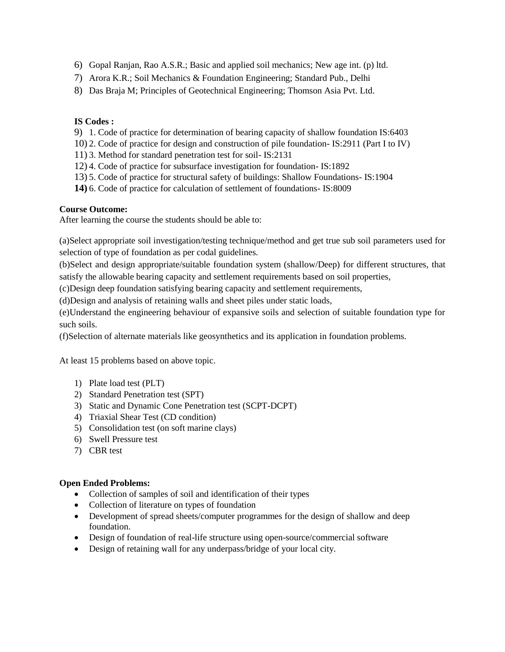- 6) Gopal Ranjan, Rao A.S.R.; Basic and applied soil mechanics; New age int. (p) ltd.
- 7) Arora K.R.; Soil Mechanics & Foundation Engineering; Standard Pub., Delhi
- 8) Das Braja M; Principles of Geotechnical Engineering; Thomson Asia Pvt. Ltd.

## **IS Codes :**

- 9) 1. Code of practice for determination of bearing capacity of shallow foundation IS:6403
- 10) 2. Code of practice for design and construction of pile foundation- IS:2911 (Part I to IV)
- 11) 3. Method for standard penetration test for soil- IS:2131
- 12) 4. Code of practice for subsurface investigation for foundation- IS:1892
- 13) 5. Code of practice for structural safety of buildings: Shallow Foundations- IS:1904
- **14)** 6. Code of practice for calculation of settlement of foundations- IS:8009

#### **Course Outcome:**

After learning the course the students should be able to:

(a)Select appropriate soil investigation/testing technique/method and get true sub soil parameters used for selection of type of foundation as per codal guidelines.

(b)Select and design appropriate/suitable foundation system (shallow/Deep) for different structures, that satisfy the allowable bearing capacity and settlement requirements based on soil properties,

(c)Design deep foundation satisfying bearing capacity and settlement requirements,

(d)Design and analysis of retaining walls and sheet piles under static loads,

(e)Understand the engineering behaviour of expansive soils and selection of suitable foundation type for such soils.

(f)Selection of alternate materials like geosynthetics and its application in foundation problems.

At least 15 problems based on above topic.

- 1) Plate load test (PLT)
- 2) Standard Penetration test (SPT)
- 3) Static and Dynamic Cone Penetration test (SCPT-DCPT)
- 4) Triaxial Shear Test (CD condition)
- 5) Consolidation test (on soft marine clays)
- 6) Swell Pressure test
- 7) CBR test

#### **Open Ended Problems:**

- Collection of samples of soil and identification of their types
- Collection of literature on types of foundation
- Development of spread sheets/computer programmes for the design of shallow and deep foundation.
- Design of foundation of real-life structure using open-source/commercial software
- Design of retaining wall for any underpass/bridge of your local city.